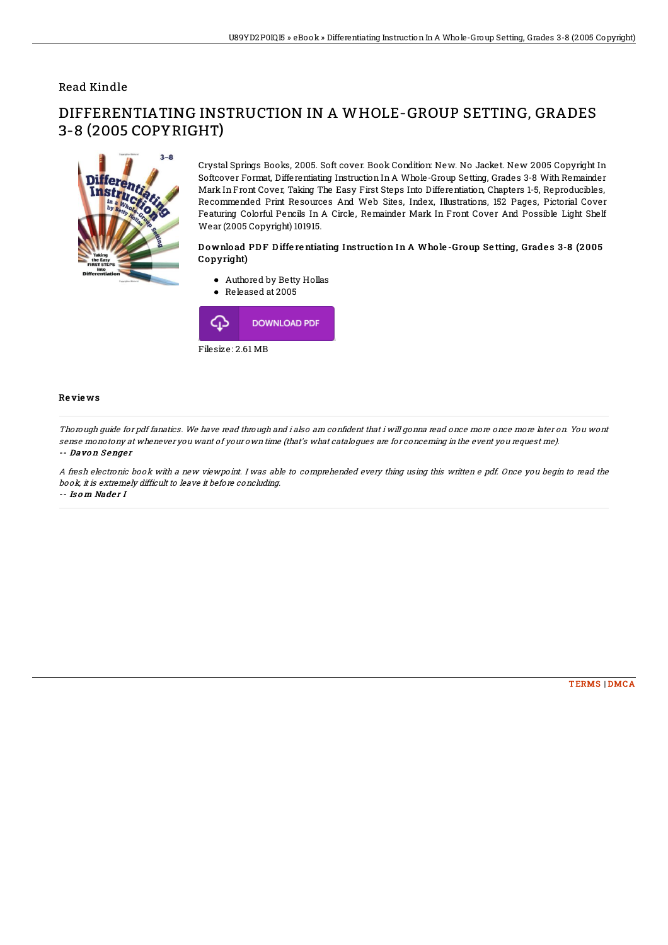# Read Kindle

# $3 - R$ **Differ**

3-8 (2005 COPYRIGHT)

Crystal Springs Books, 2005. Soft cover. Book Condition: New. No Jacket. New 2005 Copyright In Softcover Format, Differentiating Instruction In A Whole-Group Setting, Grades 3-8 With Remainder Mark In Front Cover, Taking The Easy First Steps Into Differentiation, Chapters 1-5, Reproducibles, Recommended Print Resources And Web Sites, Index, Illustrations, 152 Pages, Pictorial Cover Featuring Colorful Pencils In A Circle, Remainder Mark In Front Cover And Possible Light Shelf Wear (2005 Copyright) 101915.

## Download PDF Differentiating Instruction In A Whole-Group Setting, Grades 3-8 (2005 Copyright)

- Authored by Betty Hollas
- Released at 2005



### Re vie ws

Thorough quide for pdf fanatics. We have read through and i also am confident that i will gonna read once more once more later on. You wont sense monotony at whenever you want of your own time (that's what catalogues are for concerning in the event you request me).

DIFFERENTIATING INSTRUCTION IN A WHOLE-GROUP SETTING, GRADES

### -- Davon Senger

A fresh electronic book with <sup>a</sup> new viewpoint. I was able to comprehended every thing using this written <sup>e</sup> pdf. Once you begin to read the book, it is extremely difficult to leave it before concluding. -- Is o m Nader I